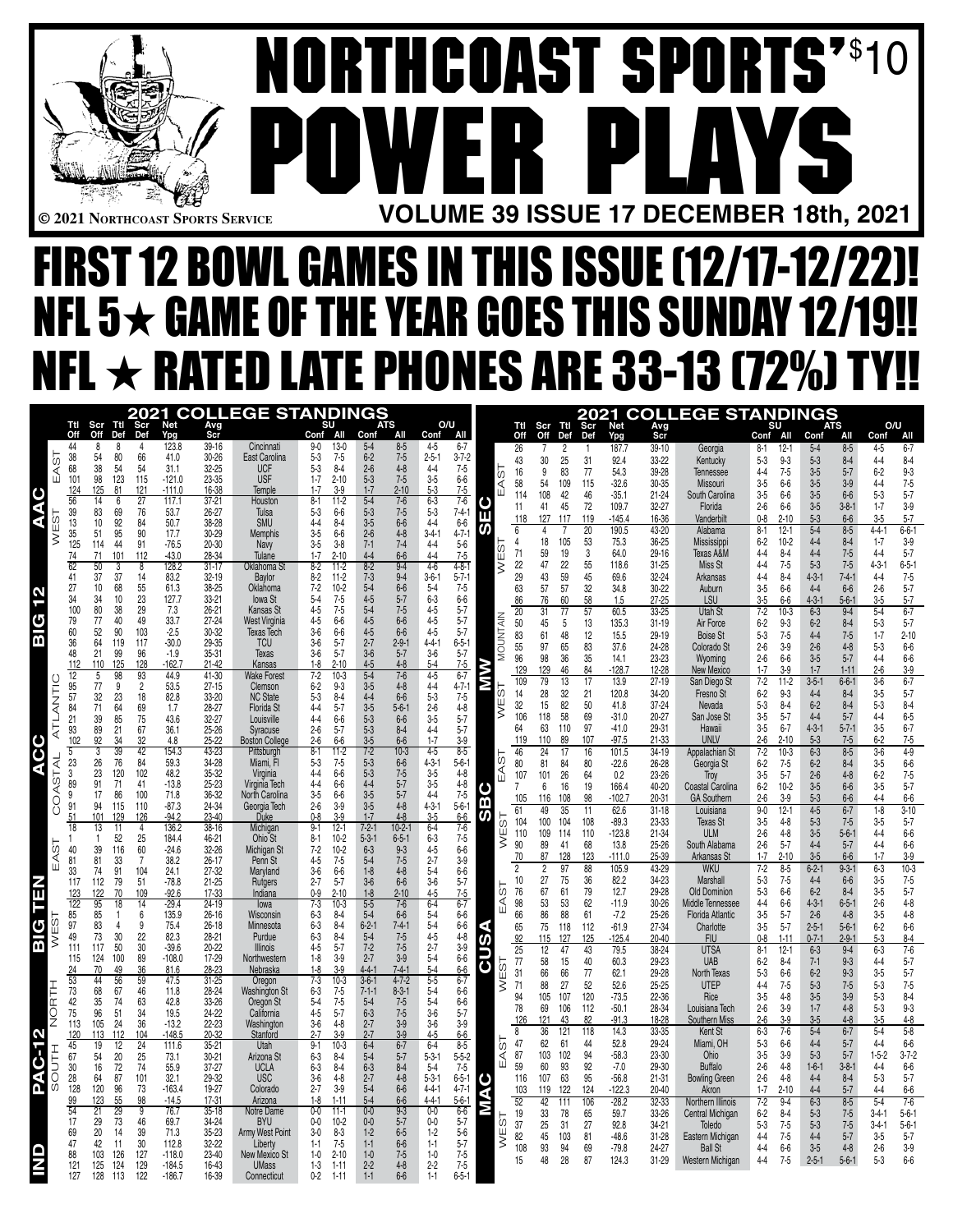

# **NORTHCOAST SPORTS'** \$ 10 **POWER PLAYS © 2021 Northcoast Sports Service VOLUME 39 ISSUE 17 DECEMBER 18th, 2021**

## FIRST 12 BOWL GAMES IN THIS ISSUE (12/17-12/22)! NFL  $5\star$  game of the year goes this sunday 12/19!! NFL  $\star$  rated late phones are 33-13 (72%) TY!!

|   |              |                                                |                 |                    | 2021                                    |                      |                        | <b>COLLEGE STANDINGS</b>            |                                          |                                                    |                            |                            |             |                       |            |                       |            |                     |                        | <b>2021 COLLEGE STANDINGS</b>                 |                                           |                        |                        |                        |                           |
|---|--------------|------------------------------------------------|-----------------|--------------------|-----------------------------------------|----------------------|------------------------|-------------------------------------|------------------------------------------|----------------------------------------------------|----------------------------|----------------------------|-------------|-----------------------|------------|-----------------------|------------|---------------------|------------------------|-----------------------------------------------|-------------------------------------------|------------------------|------------------------|------------------------|---------------------------|
|   |              | Ttl<br>Off                                     | Scr<br>Off      | Ttl<br>Def         | Scr<br>Def                              | Net<br>Ypg           | Avg<br>Scr             |                                     | All<br>Conf                              | <b>ATS</b><br>Conf<br>All                          | Conf                       | O/U<br>All                 |             | Ttl<br>Off            | Scr<br>Off | Ttl<br>Def            | Scr<br>Def | Net<br>Ypg          | Avg<br>Scr             |                                               | SU<br>Conf All                            | Conf                   | <b>ATS</b><br>All      | O/U<br>Conf            | All                       |
|   |              | 44<br>38                                       | 8<br>54         | 8<br>80            | 4<br>66                                 | 123.8<br>41.0        | 39-16<br>30-26         | Cincinnati<br>East Carolina         | $13-0$<br>$9-0$<br>$7 - 5$<br>$5 - 3$    | $5 - 4$<br>$8 - 5$<br>$6 - 2$<br>$7 - 5$           | $4 - 5$<br>$2 - 5 - 1$     | $6 - 7$<br>$3 - 7 - 2$     |             | 26                    | 7          | 2                     | -1         | 187.7               | 39-10                  | Georgia                                       | $12 - 1$<br>$8-1$                         | $5-4$                  | $8 - 5$                | $4-5$                  | $6 - 7$                   |
|   | EAST         | 68<br>101                                      | $\frac{38}{98}$ | 54                 | 54                                      | 31.1                 | $32 - 25$              | <b>UCF</b>                          | $5-3$<br>$8-4$                           | $4 - 8$<br>7-5                                     | $4 - 4$                    | 7-5                        | 5           | 43<br>16              | 30<br>9    | 25<br>83              | 31<br>77   | 92.4<br>54.3        | 33-22<br>39-28         | Kentucky<br>Tennessee                         | $9-3$<br>$5-3$<br>$4 - 4$<br>$7 - 5$      | $5 - 3$<br>$3-5$       | $8 - 4$<br>$5 - 7$     | $4 - 4$<br>$6 - 2$     | $8-4$<br>$9-3$            |
|   |              |                                                | 125             | 123                | 115<br>121                              | $-121.0$<br>$-111.0$ | 23-35                  | <b>USF</b>                          | $2 - 10$<br>$1 - 7$<br>$3-9$<br>$1 - 7$  | $2-6$<br>5-3<br>1-7<br>$2 - 10$                    | $3-5$<br>$5 - 3$           | $6-6$                      |             | 58                    | 54         | 109                   | 115        | $-32.6$             | 30-35                  | Missouri                                      | $3-5$<br>$6-6$                            | $3-5$                  | $3-9$                  | $4 - 4$                | $7 - 5$                   |
|   |              | 124<br>56                                      | 14              | 81<br>6            | 27                                      | 117.1                | 16-38<br>$37 - 21$     | Temple<br>Houston                   | $8 - 1$<br>$11-2$                        | $5 - 4$<br>$7 - 6$                                 | $6 - 3$                    | $7 - 5$<br>$7 - 6$         |             | 114                   | 108        | 42                    | 46         | $-35.1$             | 21-24                  | South Carolina                                | $3-5$<br>$6-6$                            | $3-5$                  | $6-6$                  | $5-3$                  | $5 - 7$                   |
| Я | 5            | 39                                             | 83              | 69                 | 76                                      | 53.7                 | 26-27                  | Tulsa<br>SMU                        | $5-3$<br>$6-6$                           | $5 - 3$<br>$7 - 5$<br>$3-5$                        | $5-3$                      | $7 - 4 - 1$                | ш           | 11<br>118             | 41<br>127  | 45<br>117             | 72<br>119  | 109.7<br>$-145.4$   | 32-27<br>16-36         | Florida<br>Vanderbil                          | $2 - 6$<br>$6-6$<br>$0-8$<br>$2 - 10$     | $3-5$<br>$5 - 3$       | $3 - 8 - 1$<br>$6-6$   | $1 - 7$<br>$3-5$       | $3-9$<br>$5 - 7$          |
|   | Ш<br>ξ       | $\begin{array}{c} 13 \\ 35 \\ 125 \end{array}$ | 10<br>51        | 92<br>95           | 84<br>90                                | 50.7<br>17.7         | 38-28<br>30-29         | Memphis                             | $4 - 4$<br>$8-4$<br>$3-5$<br>$6-6$       | $6-6$<br>$2-6$<br>7-1<br>$4 - 8$                   | $4 - 4$<br>$3 - 4 - 1$     | $6-6$<br>$4 - 7 - 1$       | ഗ           | 6                     | 4          |                       | 20         | 190.5               | 43-20                  | Alabama                                       | $8 - 1$<br>$12 - 1$                       | $5-4$                  | $8 - 5$                | $4 - 4 - 1$            | $6 - 6 - 1$               |
|   |              | 74                                             | 114<br>71       | 44<br>101          | 91<br>112                               | $-76.5$<br>$-43.0$   | 20-30<br>28-34         | Navy                                | $3-5$<br>$3-8$<br>$1 - 7$<br>$2 - 10$    | $7 - 4$<br>$4 - 4$<br>$6-6$                        | $4 - 4$<br>$4 - 4$         | $5-6$<br>$7 - 5$           | Ò)          | 4<br>71               | 18<br>59   | 105<br>19             | 53<br>3    | 75.3<br>64.0        | 36-25<br>29-16         | Mississippi<br>Texas A&M                      | $6-2$<br>$10 - 2$<br>$4 - 4$<br>$8 - 4$   | $4-4$<br>$4 - 4$       | $8 - 4$<br>$7 - 5$     | $1 - 7$<br>$4 - 4$     | $3-9$<br>$5 - 7$          |
|   |              | 62                                             | 50              | 3                  | 8                                       | 128.2                | $31-17$                | Tulane<br>Oklahoma St               | $8-2$<br>$11-2$                          | $8 - 2$<br>$7 - 3$<br>$9 - 4$                      | $4-6$                      | $4 - 8 - 1$                | ш           | 22                    | 47         | 22                    | 55         | 118.6               | $31 - 25$              | Miss St                                       | $4 - 4$<br>$7-5$                          | $5-3$                  | $7 - 5$                | $4 - 3 - 1$            | $6 - 5 - 1$               |
|   |              | 41<br>27                                       | 37<br>10        | 37<br>68           | 14                                      | 83.2<br>61.3         | 32-19<br>38-25         | Baylor<br>Oklahoma                  | $11-2$<br>$8 - 2$<br>$10-2$<br>$7 - 2$   | $9 - 4$<br>$6-6$                                   | $3 - 6 - 1$<br>$5-4$       | $5 - 7 - 1$<br>$7 - 5$     |             | 29<br>63              | 43<br>57   | 59<br>57              | 45<br>32   | 69.6                | 32-24                  | Arkansas                                      | $4 - 4$<br>$8-4$                          | $4 - 3 - 1$<br>$4 - 4$ | $7 - 4 - 1$<br>$6-6$   | $4-4$                  | $7-5$                     |
| N |              | 34<br>100                                      | 34              | 10                 | 55<br>23<br>29                          | 127.7                | 33-21                  | lowa St                             | $7-5$<br>$7-5$<br>$\frac{5-4}{4-5}$      | $5-4$<br>$4-5$<br>$5-4$<br>$4-5$<br>$5 - 7$<br>7-5 | $6-3$                      | $6-6$                      |             | 86                    | 76         | 60                    | 58         | 34.8<br>1.5         | 30-22<br>$27 - 25$     | Auburn<br>LSU                                 | $3-5$<br>$6-6$<br>$3-5$<br>6-6            | $4 - 3 - 1$            | $5 - 6 - 1$            | $2 - 6$<br>$3-5$       | $5 - 7$<br>$5 - 7$        |
| ٥ |              | 79                                             | 80<br>77        | 38                 | 49                                      | 7.3<br>33.7          | $26 - 21$              | Kansas St                           |                                          |                                                    | 4-5                        | $5 - 7$                    |             | 20                    | 31         | 77                    | 57         | 60.5                | 33-25                  | <b>Utah St</b>                                | $10-3$<br>$7 - 2$                         | $6 - 3$                | $9-4$                  | $5-4$                  | $6 - 7$                   |
|   |              | 60                                             | 52              | 40<br>90           | 103                                     | $-2.5$               | $27 - 24$<br>30-32     | West Virginia<br>Texas Tech         | 4-5<br>6-6<br>$3-6$<br>$6-6$             | $6-6$<br>$4 - 5$<br>2-7<br>$6-6$                   | $4-5$<br>$4 - 5$           | $5 - 7$<br>$5 - 7$         |             | 50<br>83              | 45<br>61   | 5<br>48               | 13<br>12   | 135.3<br>15.5       | $31 - 19$<br>29-19     | Air Force<br><b>Boise St</b>                  | $6 - 2$<br>$9-3$<br>$5-3$<br>$7-5$        | $6 - 2$<br>$4 - 4$     | $8 - 4$<br>$7 - 5$     | $5-3$<br>$1 - 7$       | $5 - 7$<br>$2 - 10$       |
|   |              | 36<br>48                                       | 64<br>21        | 119<br>99          | 117<br>96                               | $-30.0$<br>$-1.9$    | 29-35<br>35-31         | <b>TCU</b><br>Texas                 | $5 - 7$<br>$3-6$<br>$5 - 7$<br>$3-6$     | $2 - 9 - 1$<br>$3-6$<br>$5 - 7$                    | $4 - 4 - 1$<br>$3-6$       | $6 - 5 - 1$<br>$5 - 7$     | MOUNTAIN    | 55                    | 97         | 65                    | 83         | 37.6                | 24-28                  | Colorado St                                   | $2 - 6$<br>$3-9$                          | $2 - 6$                | $4 - 8$                | $5-3$                  | 6-6                       |
|   |              | 112                                            | 110             | 125                | 128                                     | $-162.7$             | $21 - 42$              | Kansas                              | $1-8$<br>$2 - 10$                        | $4 - 5$<br>$4-8$                                   | $5-4$                      | $7 - 5$                    |             | 96<br>129             | 98<br>129  | 36<br>46              | 35<br>84   | 14.1<br>$-128.7$    | 23-23<br>12-28         | Wyoming<br>New Mexico                         | $2 - 6$<br>$6-6$<br>$1 - 7$<br>$3-9$      | $3-5$<br>$1 - 7$       | $5 - 7$<br>$1 - 11$    | $4 - 4$<br>$2-6$       | $6-6$                     |
|   |              | 12<br>95                                       | 5<br>77         | 98<br>9            | 93<br>$\overline{2}$                    | 44.9<br>53.5         | $41 - 30$<br>$27 - 15$ | Wake Fores<br>Clemson               | $10-3$<br>$7 - 2$<br>$6 - 2$<br>$9-3$    | $5 - 4$<br>$7 - 6$<br>$3-5$<br>$4 - 8$             | $4 - 5$<br>$4 - 4$         | $6 - 7$<br>$4 - 7 - 1$     | Σ           | 109                   | 79         | 13                    | 17         | 13.9                | $27 - 19$              | San Diego St                                  | $7 - 2$<br>$11-2$                         | $3 - 5 - 1$            | $6 - 6 - 1$            | $3-6$                  | $3-9$<br>$6 - 7$          |
|   | ATLANTIC     | 57                                             | 32              | 23                 | 18                                      | 82.8                 | 33-20                  | <b>NC State</b>                     | $5-3$<br>$8 - 4$                         | $4 - 4$<br>$3 - 5$<br>$6-6$                        | $5-3$                      | $7 - 5$                    | σÓ          | 14                    | 28         | 32                    | 21         | 120.8               | 34-20                  | Fresno St                                     | $9-3$<br>$6-2$                            | $4 - 4$                | $8 - 4$                | $3-5$                  | $5 - 7$                   |
|   |              | 84<br>21                                       | $\overline{7}1$ | 64<br>85           | 69<br>75<br>67                          | 1.7<br>43.6          | 28-27<br>$32 - 27$     | Florida St<br>Louisville            | $5 - 7$<br>$4 - 4$<br>$4 - 4$<br>$6-6$   | $5 - 6 - 1$<br>$6 - 6$                             | $2-6$<br>$3-5$             | $4 - 8$<br>$5 - 7$         | y≡          | 32<br>106             | 15<br>118  | 82<br>58              | 50<br>69   | 41.8<br>$-31.0$     | 37-24<br>20-27         | Nevada<br>San Jose St                         | $8-4$<br>$5-3$<br>$3-5$<br>$5 - 7$        | $6 - 2$<br>$4-4$       | $8 - 4$<br>$5 - 7$     | $5-3$<br>$4 - 4$       | $8 - 4$<br>$6-5$          |
|   |              | $\frac{93}{102}$                               | 39<br>89        | 21                 |                                         | 36.1                 | 25-26                  | Syracuse                            | $2-6$<br>$5 - 7$                         | $5 - 3$<br>$5 - 3$<br>$3 - 5$<br>$8 - 4$           | $4 - 4$<br>1-7             | $5 - 7$                    |             | 64                    | 63         | 110                   | 97         | $-41.0$             | 29-31                  | Hawaii                                        | $3-5$<br>$6 - 7$                          | $4 - 3 - 1$            | $5 - 7 - 1$            | $3-5$                  | $6 - 7$                   |
|   |              | 3                                              | 92<br>3         | 34<br>39           | 32<br>42                                | 4.8<br>154.3         | 25-22<br>43-23         | <b>Boston College</b><br>Pittsburgh | $2 - 6$<br>$6-6$<br>$8 - 1$<br>$11-2$    | $6-6$<br>$7-2$<br>$10-3$                           | $4-5$                      | $3-9$<br>$8 - 5$           |             | 119<br>46             | 110<br>24  | 89<br>$\overline{17}$ | 107<br>16  | $-97.5$<br>101.5    | $21 - 33$<br>$34 - 19$ | <b>UNLV</b><br>Appalachian St                 | $2 - 6$<br>$2 - 10$<br>$7 - 2$<br>$10-3$  | $5 - 3$<br>$6 - 3$     | $7 - 5$<br>$8 - 5$     | $6 - 2$<br>$3-6$       | $7-5$<br>$4 - 9$          |
|   |              | $_{3}^{\rm 23}$                                | 26              | 76                 | 84                                      | 59.3                 | 34-28                  | Miami, Fl                           | $7 - 5$<br>$5-3$                         | $5 - 3$<br>$5 - 3$<br>$6-6$                        | $4 - 3 - 1$                | $5 - 6 - 1$                | AST         | 80                    | 81         | 84                    | 80         | $-22.6$             | 26-28                  | Georgia St                                    | $7 - 5$<br>$6-2$                          | $6 - 2$                | $8 - 4$                | $3-5$                  | $6-6$                     |
|   |              | 89                                             | 23<br>91        | 120<br>71          | 102<br>41                               | 48.2<br>$-13.8$      | 35-32<br>25-23         | Virginia<br>Virginia Tech           | $4 - 4$<br>$6-6$<br>$4 - 4$<br>$6-6$     | $7 - 5$<br>$5 - 7$                                 | $3-5$<br>$3-5$             | $4 - 8$<br>$4-8$           | ш           | 107<br>$\overline{7}$ | 101        | 26                    | 64         | 0.2                 | 23-26                  | Troy                                          | $3-5$<br>$5 - 7$                          | $2 - 6$                | $4 - 8$                | $6 - 2$                | $7 - 5$                   |
|   | COASTAL      | 9                                              | 17              | 86                 | 100                                     | 71.8                 | 36-32                  | North Carolina                      | $3-5$<br>$6-6$                           | $4-4$<br>$3-5$<br>$3-5$<br>$5 - 7$                 | $4 - 4$                    | $7-5$                      | ပ<br>m      | 105                   | 6<br>116   | 16<br>108             | 19<br>98   | 166.4<br>$-102.7$   | 40-20<br>20-31         | <b>Coastal Carolina</b><br><b>GA Southern</b> | $6 - 2$<br>$10 - 2$<br>$2-6$<br>$3-9$     | $3-5$<br>$5 - 3$       | $6-6$<br>$6-6$         | $3-5$<br>$4 - 4$       | $5 - 7$<br>$6-6$          |
|   |              | 91                                             | 94<br>101       | 115<br>129         | 110<br>126                              | $-87.3$<br>$-94.2$   | 24-34<br>23-40         | Georgia Tech<br><b>Duke</b>         | $2 - 6$<br>$3-9$<br>$0 - 8$<br>$3-9$     | $4 - 8$<br>$1 - 7$<br>$4 - 8$                      | $4 - 3 - 1$<br>$3-5$       | $5 - 6 - 1$<br>$6-6$       | S           | 61                    | 49         | 35                    | 11         | 62.6                | $31 - 18$              | Louisiana                                     | $9 - 0$<br>$12 - 1$                       | $4-5$                  | $6 - 7$                | $1 - 8$                | $3 - 10$                  |
|   |              | 18                                             | 13              | 11                 | 4                                       | 136.2                | $38 - 16$              | Michigan                            | $12-1$<br>$9 - 1$                        | $10-2-1$                                           | $6 - 4$                    | $\frac{7-6}{7-5}$          | ts⊇         | 104<br>110            | 100<br>109 | 104<br>114            | 108<br>110 | $-89.3$<br>$-123.8$ | 23-33<br>$21 - 34$     | <b>Texas St</b><br><b>ULM</b>                 | $3-5$<br>$4 - 8$<br>$2 - 6$<br>$4 - 8$    | $5 - 3$<br>$3-5$       | $7 - 5$<br>$5 - 6 - 1$ | $3-5$<br>$4 - 4$       | $5 - 7$<br>$6-6$          |
|   |              | 40                                             | 1<br>39         | 52<br>116          | $\begin{array}{c} 25 \\ 60 \end{array}$ | 184.4<br>$-24.6$     | 46-21<br>32-26         | Ohio St<br>Michigan St              | $10 - 2$<br>$8-1$<br>$10 - 2$<br>$7 - 2$ | $7-2-1$<br>5-3-1<br>6-3<br>$6 - 5 - 1$<br>$9-3$    | $6 - 3$<br>$4-5$           | $6-6$                      | ξ           | 90                    | 89         | 41                    | 68         | 13.8                | $25 - 26$              | South Alabama                                 | $2 - 6$<br>$5 - 7$                        | $4 - 4$                | $5 - 7$                | $4 - 4$                | $6-6$                     |
|   | EAST         | 81                                             | 81              | 33                 | $\overline{7}$                          | 38.2                 | $26 - 17$              | Penn St                             | $7 - 5$<br>$4 - 5$                       | $5 - 4$<br>1-8<br>$7 - 5$                          | $2 - 7$                    | $3-9$                      |             | 70<br>2               | 87<br>2    | 128<br>97             | 123<br>88  | $-111.0$<br>105.9   | 25-39<br>43-29         | Arkansas St<br><b>WKU</b>                     | $1 - 7$<br>$2 - 10$<br>$7 - 2$<br>$8 - 5$ | $3-5$<br>$6 - 2 - 1$   | $6-6$<br>$9 - 3 - 1$   | $1 - 7$<br>$6 - 3$     | $3-9$<br>$\frac{1}{10-3}$ |
|   |              | 33<br>117                                      | 74<br>112       | 91<br>79           | 104<br>51                               | 24.1<br>$-78.8$      | 27-32<br>$21 - 25$     | Maryland<br>Rutgers                 | $3-6$<br>6-6<br>$2 - 7$<br>$5 - 7$       | $4 - 8$<br>$3-6$<br>$6-6$                          | $5 - 4$<br>$3-6$           | 6-6<br>$5 - 7$             |             | 10                    | 27         | 75                    | 36         | 82.2                | 34-23                  | Marshall                                      | $7 - 5$<br>$5-3$                          | $4 - 4$                | $6-6$                  | $3-5$                  | $7 - 5$                   |
| Á |              | 123                                            | 122             | 70                 | 109                                     | $-92.6$              | 17-33                  | Indiana                             | $0 - 9$<br>$2 - 10$                      | $1-8$<br>$2 - 10$                                  | $4 - 5$                    | $7 - 5$                    | ს<br>∢      | 76                    | 67         | 61                    | 79         | 12.7                | 29-28                  | <b>Old Dominion</b>                           | $5-3$<br>$6-6$                            | $6 - 2$                | $8 - 4$                | $3-5$                  | $5 - 7$                   |
|   |              | 122<br>85                                      | 95<br>85        | 18<br>$\mathbf{1}$ | 14<br>6                                 | $-29.4$<br>135.9     | 24-19<br>$26 - 16$     | lowa<br>Wisconsin                   | $7-3$<br>10-3<br>$6-3$<br>$8 - 4$        | $5 - 5$<br>$7-6$<br>$5-4$<br>$6-6$                 | $6 - 4$<br>$5-4$           | $6 - 7$<br>$6-6$           | ш           | 98<br>66              | 53<br>86   | 53<br>88              | 62<br>61   | $-11.9$<br>$-7.2$   | $30 - 26$<br>$25 - 26$ | Middle Tennessee<br>Florida Atlantic          | $4 - 4$<br>$6-6$<br>$3-5$<br>$5 - 7$      | $4 - 3 - 1$<br>$2 - 6$ | $6 - 5 - 1$<br>$4 - 8$ | $2 - 6$<br>$3-5$       | $4 - 8$<br>$4 - 8$        |
| σ | U)           | 97                                             | 83              | $\overline{4}$     | 9                                       | 75.4                 | $26 - 18$              | Minnesota                           | $8 - 4$<br>$6-3$                         | $6 - 2 - 1$<br>$7-4-1$                             | $5-4$                      | $6-6$                      |             | 65                    | 75         | 118                   | 112        | $-61.9$             | $27 - 34$              | Charlotte                                     | $3-5$<br>$5 - 7$                          | $2 - 5 - 1$            | $5 - 6 - 1$            | $6 - 2$                | $6 - 6$<br>$8 - 4$        |
|   | ÿ<br>Σ       | 49<br>111                                      | 73<br>117       | 30<br>50           | 22                                      | 82.3<br>$-39.6$      | 28-21<br>20-22         | Purdue<br>Illinois                  | $8 - 4$<br>$6 - 3$<br>$5 - 7$<br>$4 - 5$ | $5-4$<br>$7 - 5$<br>$7 - 2$<br>$7 - 5$             | $4-5$<br>$2 - 7$           | $4 - 8$<br>$3-9$           | M           | 92<br>25              | 115<br>12  | 127<br>47             | 125<br>43  | $-125.4$<br>79.5    | $20 - 40$<br>38-24     | <b>FIU</b><br><b>UTSA</b>                     | $1 - 11$<br>$0-8$<br>$8 - 1$<br>$12-1$    | $0 - 7 - 1$<br>$6 - 3$ | $2 - 9 - 1$<br>$9 - 4$ | $5 - 3$<br>$6 - 3$     | $7 - 6$                   |
|   |              | 115<br>24                                      | 124<br>70       | 100<br>49          | 30<br>89<br>36                          | $-108.0$<br>81.6     | 17-29<br>28-23         | Northwestern<br>Nebraska            | $3-9$<br>$1-8$<br>$3-9$<br>$1-8$         | $2 - 7$<br>$3-9$<br>441<br>$7 - 4 - 1$             | $\frac{5}{5}$ -4           | $6-6$<br>$6-6$             | ں           | 77                    | 58         | 15                    | 40         | 60.3                | 29-23                  | <b>UAB</b>                                    | $6 - 2$<br>$8 - 4$                        | $7 - 1$                | $9 - 3$                | $4 - 4$                | $5 - 7$                   |
|   |              | 53                                             | 44              | 56                 | 59                                      | 47.5                 | $31 - 25$              | Oregon                              | $7 - 3$<br>$10-3$                        | $3 - 6 - 1$<br>$4 - 7 - 2$                         | $5 - 5$                    | $6 - 7$                    | .<br>ம<br>ξ | 31<br>71              | 66<br>88   | 66<br>27              | 77<br>52   | 62.1<br>52.6        | 29-28<br>$25 - 25$     | North Texas<br><b>UTEP</b>                    | $5 - 3$<br>$6-6$<br>$4 - 4$<br>$7 - 5$    | $6 - 2$<br>$5 - 3$     | $9 - 3$<br>$7 - 5$     | $3-5$<br>$5-3$         | $5 - 7$<br>$7 - 5$        |
|   | HTH<br>NORTH | 73<br>42                                       | 68<br>35        | 67<br>74           | 46<br>63                                | 11.8<br>42.8         | 28-24<br>33-26         | Washington St<br>Oregon St          | $6-3$<br>$7 - 5$<br>$7 - 5$<br>$5-4$     | $7 - 1 - 1$<br>$8 - 3 - 1$<br>$7 - 5$<br>$5-4$     | $5 - 4$<br>$5 - 4$         | 6-6<br>6-6                 |             | 94                    | 105        | 107                   | 120        | $-73.5$             | $22 - 36$              | Rice                                          | $3-5$<br>$4-8$                            | $3 - 5$                | $3 - 9$                | $5-3$                  | $8 - 4$                   |
|   |              | 75                                             | 96              | 51                 | 34                                      | 19.5                 | 24-22                  | California                          | $5 - 7$<br>$4 - 5$                       | $6 - 3$<br>$7 - 5$                                 | $3-6$                      | $5 - 7$                    |             | 78                    | 69         | 106                   | 112        | $-50.1$             | 28-34                  | Louisiana Tech                                | $2 - 6$<br>$3-9$                          | $1 - 7$                | $4 - 8$                | $5-3$                  | $\frac{9-3}{4-8}$         |
| N |              | 113<br>$\frac{120}{5}$                         | 105<br>113      | 24<br>112          | 36<br>104                               | $-13.2$<br>$-148.5$  | 22-23<br>20-32         | Washington<br>Stanford              | $3-6$<br>$4-8$<br>$2 - 7$<br>$3-9$       | $2 - 7$<br>$2 - 7$<br>$3-9$<br>$3-9$               | $3-6$<br>$4-5$             | $3-9$<br>$6-6$             |             | 126<br>8              | 121<br>36  | 43<br>121             | 82<br>118  | $-91.3$<br>14.3     | 18-28<br>33-35         | Southern Miss<br>Kent St                      | $2 - 6$<br>3-9<br>$7-6$<br>$6-3$          | $3-5$<br>$5-4$         | $4 - 8$<br>$6 - 7$     | $3-5$<br>$5-4$         | $5-8$                     |
|   |              | 45                                             | 19              | 12                 | 24                                      | 111.6                | $35 - 21$              | Utah                                | $9 - 1$<br>$10-3$                        | $6 - 4$<br>$6 - 7$                                 | $6 - 4$                    | $8-5$                      | EAST        | 47                    | 62         | 61                    | 44         | 52.8                | 29-24                  | Miami, OH                                     | $5-3$<br>$6-6$                            | $4 - 4$                | $5 - 7$                | $4 - 4$                | $6-6$                     |
|   | I<br>5       | 67<br>30                                       | 54<br>16        | 20<br>72           | 25<br>74                                | 73.1<br>55.9         | $30 - 21$<br>$37 - 27$ | Arizona St<br><b>UCLA</b>           | $6-3$<br>$8 - 4$<br>$6-3$<br>$8 - 4$     | $5-4$<br>$5 - 7$<br>$6 - 3$<br>$8 - 4$             | $5 - 3 - 1$<br>$5-4$       | $5 - 5 - 2$<br>$7-5$       |             | 87<br>59              | 103<br>60  | 102<br>93             | 94<br>92   | $-58.3$<br>$-7.0$   | 23-30<br>29-30         | Ohio<br><b>Buffalo</b>                        | $3-5$<br>$3-9$<br>$2 - 6$<br>$4 - 8$      | $5 - 3$<br>$1-6-1$     | $5 - 7$<br>$3 - 8 - 1$ | $1 - 5 - 2$<br>$4 - 4$ | $3 - 7 - 2$<br>$6-6$      |
| Ř | Ō            | 28                                             | 64              | 87                 | 101                                     | 32.1                 | 29-32                  | <b>USC</b>                          | $4 - 8$<br>$3-6$                         | $2 - 7$<br>$4 - 8$                                 | $5 - 3 - 1$                | $6 - 5 - 1$                | O           | 116                   | 107        | 63                    | 95         | $-56.8$             | $21 - 31$              | <b>Bowling Green</b>                          | $2 - 6$<br>$4 - 8$                        | $4 - 4$                | $8 - 4$                | $5-3$                  | $5 - 7$                   |
|   | w            | 128<br>99                                      | 120<br>123      | 96<br>55           | $\frac{73}{98}$                         | $-163.4$<br>$-14.5$  | 19-27<br>17-31         | Colorado<br>Arizona                 | $3-9$<br>$2 - 7$<br>$1-8$<br>$1 - 11$    | $\frac{5}{5}$ -4<br>$6 - 6$<br>$6-6$               | $4 - 4 - 1$<br>$4 - 4 - 1$ | $4 - 7 - 1$<br>$5 - 6 - 1$ |             | 103<br>52             | 119<br>42  | 122                   | 124<br>106 | $-122.3$<br>$-28.2$ | $20 - 40$<br>$32 - 33$ | Akron                                         | $1 - 7$<br>$2 - 10$<br>$7 - 2$            | $4 - 4$<br>$6 - 3$     | $5 - 7$<br>$8 - 5$     | $4 - 4$<br>$5-4$       | $6-6$<br>$7-6$            |
|   |              | 54                                             | 21              | 29                 | 9                                       | 76.7                 | 35-18                  | Notre Dame                          | $0-0$<br>11-1                            | $0-0$<br>$9-3$                                     | $0-0$                      | 6-6                        |             | 19                    | 33         | 111<br>78             | 65         | 59.7                | 33-26                  | Northern Illinois<br>Central Michigan         | $9-4$<br>$6 - 2$<br>$8 - 4$               | $5-3$                  | $7 - 5$                | $3-4-1$                | $5 - 6 - 1$               |
|   |              | 17<br>69                                       | 29<br>20        | 73<br>14           | 46<br>39                                | 69.7<br>71.3         | 34-24<br>35-23         | <b>BYU</b><br>Army West Point       | $10-2$<br>$0-0$<br>$8-3$<br>$3-0$        | $0-0$<br>$5 - 7$<br>$1-2$<br>$6-5$                 | $0-0$<br>$1-2$             | $5 - 7$<br>$5-6$           | w           | 37                    | 25         | 31                    | 27         | 92.8                | 34-21                  | Toledo                                        | $5 - 3$<br>$7-5$                          | $5 - 3$                | $7 - 5$                | $3-4-1$                | $5 - 6 - 1$<br>$5 - 7$    |
|   |              | 47                                             | 42              | 11                 | 30                                      | 112.8                | 32-22                  | Liberty                             | $7 - 5$<br>$1-1$                         | $1 - 1$<br>$6 - 6$                                 | $1 - 1$                    | $5 - 7$                    | ÿ<br>V      | 82<br>108             | 45<br>93   | 103<br>94             | 81<br>69   | $-48.6$<br>$-79.8$  | $31 - 28$<br>24-27     | Eastern Michigan<br><b>Ball St</b>            | $7 - 5$<br>$4 - 4$<br>$4-4$<br>$6-6$      | $4 - 4$<br>$3-5$       | $5 - 7$<br>$4 - 8$     | $3-5$<br>$2 - 6$       | $3-9$                     |
| Z |              | 88<br>121                                      | 103<br>125      | 126<br>124         | 127<br>129                              | $-118.0$<br>$-184.5$ | 23-40<br>16-43         | New Mexico St<br><b>UMass</b>       | $1 - 0$<br>$2 - 10$<br>$1-3$<br>$1-11$   | $1-0$<br>$7 - 5$<br>$2 - 2$<br>$4 - 8$             | $1 - 0$<br>$2 - 2$         | $7 - 5$<br>$7 - 5$         |             | 15                    | 48         | 28                    | 87         | 124.3               | $31 - 29$              | Western Michigan                              | $4 - 4$<br>$7 - 5$                        | $2 - 5 - 1$            | $5 - 6 - 1$            | $5-3$                  | $6-6$                     |
|   |              | 127                                            | 128             | 113                | 122                                     | $-186.7$             | 16-39                  | Connecticut                         | $0 - 2$<br>$1 - 11$                      | $1 - 1$<br>$6 - 6$                                 | $1-1$                      | $6 - 5 - 1$                |             |                       |            |                       |            |                     |                        |                                               |                                           |                        |                        |                        |                           |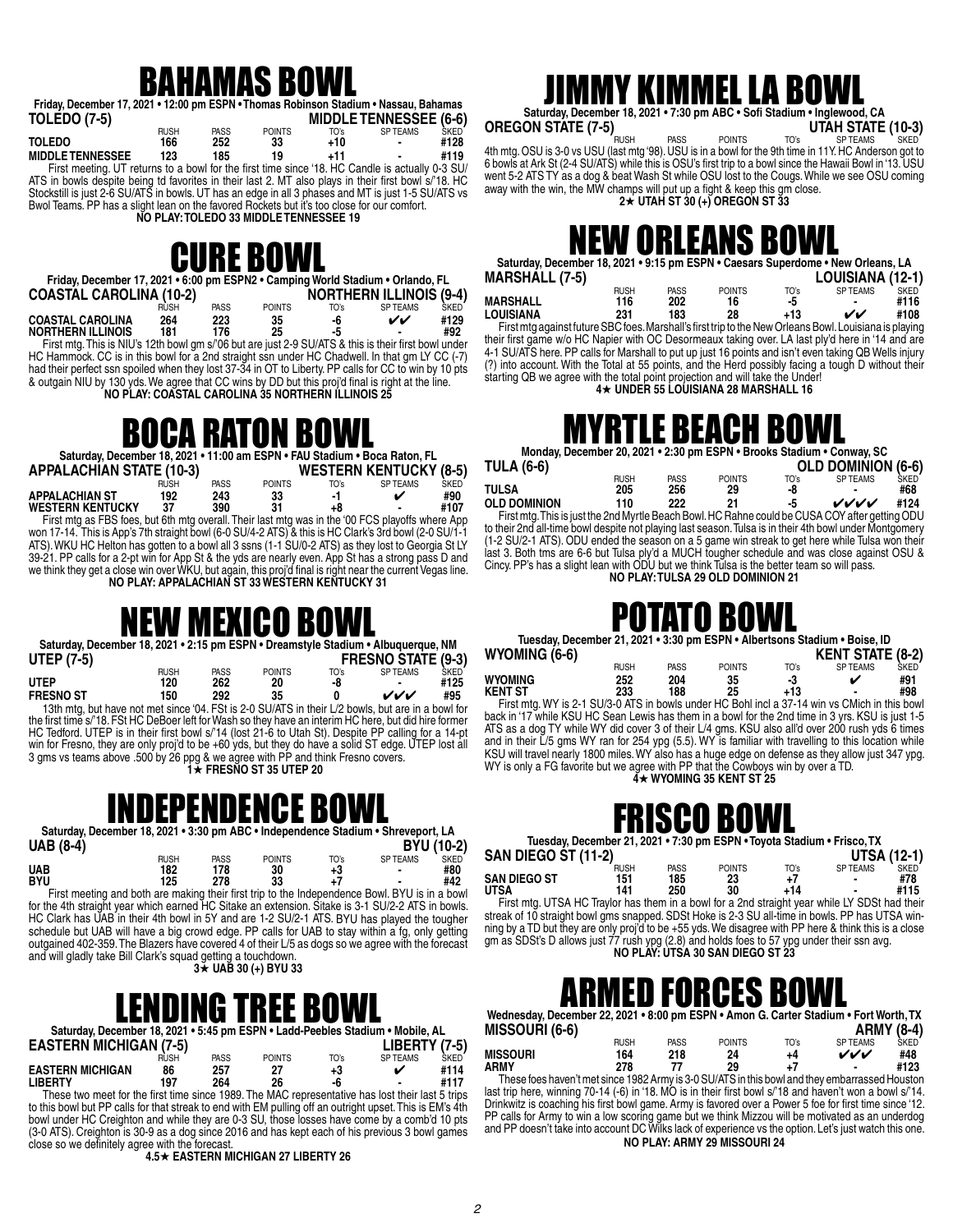#### BAHAMAS BOWL

| Friday, December 17, 2021 • 12:00 pm ESPN • Thomas Robinson Stadium • Nassau, Bahamas |             |      |               |      |                               |             |
|---------------------------------------------------------------------------------------|-------------|------|---------------|------|-------------------------------|-------------|
| <b>TOLEDO (7-5)</b>                                                                   |             |      |               |      | <b>MIDDLE TENNESSEE (6-6)</b> |             |
|                                                                                       | <b>RUSH</b> | PASS | <b>POINTS</b> | TO's | <b>SP TEAMS</b>               | <b>SKED</b> |
| <b>TOLEDO</b>                                                                         | 166         | 252  | 33            | +10  |                               | #128        |

**MIDDLE TENNESSEE 123 185 19 +11 - #119** First meeting. UT returns to a bowl for the first time since '18. HC Candle is actually 0-3 SU/ ATS in bowls despite being td favorites in their last 2. MT also plays in their first bowl s/'18. HC Stockstill is just 2-6 SU/ATS in bowls. UT has an edge in all 3 phases and MT is just 1-5 SU/ATS vs Bwol Teams. PP has a slight lean on the favored Rockets but it's too close for our comfort.

**NO PLAY: TOLEDO 33 MIDDLE TENNESSEE 19** 

#### CURE BOWL

| Friday, December 17, 2021 • 6:00 pm ESPN2 • Camping World Stadium • Orlando, FL |      |             |               |                                |          |             |
|---------------------------------------------------------------------------------|------|-------------|---------------|--------------------------------|----------|-------------|
| <b>COASTAL CAROLINA (10-2)</b>                                                  |      |             |               | <b>NORTHERN ILLINOIS (9-4)</b> |          |             |
|                                                                                 | RUSH | <b>PASS</b> | <b>POINTS</b> | TO's                           | SP TFAMS | <b>SKED</b> |
| <b>COASTAL CAROLINA</b>                                                         | 264  | 223         | 35            | -6                             | vv       | #129        |

**NORTHERN ILLINOIS 181 176 25 -5 - #92** First mtg. This is NIU's 12th bowl gm s/'06 but are just 2-9 SU/ATS & this is their first bowl under HC Hammock. CC is in this bowl for a 2nd straight ssn under HC Chadwell. In that gm LY CC (-7) had their perfect ssn spoiled when they lost 37-34 in OT to Liberty. PP calls for CC to win by 10 pts & outgain NIU by 130 yds. We agree that CC wins by DD but this proj'd final is right at the line.

**NO PLAY: COASTAL CAROLINA 35 NORTHERN ILLINOIS 25**

#### BOCA RATON BOWL

| Saturday, December 18, 2021 • 11:00 am ESPN • FAU Stadium • Boca Raton, FL                            |             |             |               |      |                 |             |  |  |  |
|-------------------------------------------------------------------------------------------------------|-------------|-------------|---------------|------|-----------------|-------------|--|--|--|
| <b>APPALACHIAN STATE (10-3)</b><br><b>WESTERN KENTUCKY (8-5)</b>                                      |             |             |               |      |                 |             |  |  |  |
|                                                                                                       | <b>RUSH</b> | <b>PASS</b> | <b>POINTS</b> | TO's | <b>SP TEAMS</b> | <b>SKED</b> |  |  |  |
| <b>APPALACHIAN ST</b>                                                                                 | 192         | 243         | 33            | -1   |                 | #90         |  |  |  |
| <b>WESTERN KENTUCKY</b>                                                                               | 37          | 390         | 31            | +8   |                 | #107        |  |  |  |
| First mtg as FBS foes, but 6th mtg overall. Their last mtg was in the '00 FCS playoffs where App      |             |             |               |      |                 |             |  |  |  |
| won 17-14. This is App's 7th straight bowl (6-0 SU/4-2 ATS) & this is HC Clark's 3rd bowl (2-0 SU/1-1 |             |             |               |      |                 |             |  |  |  |
| ATS). WKU HC Helton has gotten to a bowl all 3 ssns (1-1 SU/0-2 ATS) as they lost to Georgia St LY    |             |             |               |      |                 |             |  |  |  |
|                                                                                                       |             |             |               |      |                 |             |  |  |  |

39-21. PP calls for a 2-pt win for App St & the yds are nearly even. App St has a strong pass D and we think they get a close win over WKU, but again, this proj'd final is right near the current Vegas line. **NO PLAY: APPALACHIAN ST 33 WESTERN KENTUCKY 31**

#### NEW MEXICO BOWL

|                   | Saturday, December 18, 2021 • 2:15 pm ESPN • Dreamstyle Stadium • Albuquerque, NM                 |             |               |      |                           |      |
|-------------------|---------------------------------------------------------------------------------------------------|-------------|---------------|------|---------------------------|------|
| <b>UTEP (7-5)</b> |                                                                                                   |             |               |      | <b>FRESNO STATE (9-3)</b> |      |
|                   | <b>RUSH</b>                                                                                       | <b>PASS</b> | <b>POINTS</b> | TO's | <b>SP TEAMS</b>           | SKED |
| <b>UTFP</b>       | 120                                                                                               | 262         | 20            | -8   |                           | #125 |
| <b>FRESNO ST</b>  | 150                                                                                               | 292         | 35            |      | ンンノ                       | #95  |
|                   | 13th mtg, but have not met since '04. FSt is 2-0 SU/ATS in their L/2 bowls, but are in a bowl for |             |               |      |                           |      |

 13th mtg, but have not met since '04. FSt is 2-0 SU/ATS in their L/2 bowls, but are in a bowl for the first time s/'18. FSt HC DeBoer left for Wash so they have an interim HC here, but did hire former HC Tedford. UTEP is in their first bowl s/'14 (lost 21-6 to Utah St). Despite PP calling for a 14-pt win for Fresno, they are only proj'd to be +60 yds, but they do have a solid ST edge. UTEP lost all 3 gms vs teams above .500 by 26 ppg & we agree with PP and think Fresno covers.  **1**H **FRESNO ST 35 UTEP 20**

#### **INDEPENDENCE BOW**

Saturday, December 18, 2021 • 3:30 pm ABC • Independence Stadium • Shreveport, LA<br>BYU (10-<br>BYU (10-**UAB (8-4) BYU (10-2)**

|                                                                                                        | rush | <b>PASS</b> | <b>POINTS</b> | TO's | <b>SP TEAMS</b> | <b>SKED</b> |
|--------------------------------------------------------------------------------------------------------|------|-------------|---------------|------|-----------------|-------------|
| UAB                                                                                                    | 182  | 178         | 30            | +3   | ٠               | #80         |
| BYU                                                                                                    | 125  | 278         | 33            |      | ٠               | #42         |
| Final modeling and both and moling that the final life to the Indianapolance David DVI I is in a based |      |             |               |      |                 |             |

 First meeting and both are making their first trip to the Independence Bowl. BYU is in a bowl for the 4th straight year which earned HC Sitake an extension. Sitake is 3-1 SU/2-2 ATS in bowls. HC Clark has UAB in their 4th bowl in 5Y and are 1-2 SU/2-1 ATS. BYU has played the tougher schedule but UAB will have a big crowd edge. PP calls for UAB to stay within a fg, only getting outgained 402-359. The Blazers have covered 4 of their L/5 as dogs so we agree with the forecast and will gladly take Bill Clark's squad getting a touchdown. **3**H **UAB 30 (+) BYU 33**

#### LENDING TREE BOWL

| Saturday, December 18, 2021 • 5:45 pm ESPN • Ladd-Peebles Stadium • Mobile, AL |             |      |               |      |                 |              |  |  |  |  |
|--------------------------------------------------------------------------------|-------------|------|---------------|------|-----------------|--------------|--|--|--|--|
| <b>EASTERN MICHIGAN (7-5)</b>                                                  |             |      |               |      | $LIBERTY (7-5)$ |              |  |  |  |  |
|                                                                                | <b>RUSH</b> | PASS | <b>POINTS</b> | TO's | SP TFAMS        | <b>SKED</b>  |  |  |  |  |
| <b>EASTERN MICHIGAN</b>                                                        | 86          | 257  | 27            | +3   | ✔               | #114<br>#117 |  |  |  |  |
| <b>LIBERTY</b>                                                                 | 197         | 264  | 26            | -6   | ۰               |              |  |  |  |  |

 These two meet for the first time since 1989. The MAC representative has lost their last 5 trips to this bowl but PP calls for that streak to end with EM pulling off an outright upset. This is EM's 4th bowl under HC Creighton and while they are 0-3 SU, those losses have come by a comb'd 10 pts (3-0 ATS). Creighton is 30-9 as a dog since 2016 and has kept each of his previous 3 bowl games close so we definitely agree with the forecast. **4.5**H **EASTERN MICHIGAN 27 LIBERTY 26**

#### IMMY KIMMEL LA BOW

Saturday, December 18, 2021 • 7:30 pm ABC • Sofi Stadium • Inglewood, CA<br>OREGON STATE (7-5) UTAH STATE (10-3)

**OREGON STATE (7-5)**<br>
Automig. OSU is 3-0 vs USU (last mtg '98). USU is in a bowl for the 9th time in 11Y. HC Anderson got to 6 bowls at Ark St (2-4 SU/ATS) while this is OSU's first trip to a bowl since the Hawaii Bowl in '13. USU went 5-2 ATS TY as a dog & beat Wash St while OSU lost to the Cougs. While we see OSU coming away with the win, the MW champs will put up a fight & keep this gm close. **2**H **UTAH ST 30 (+) OREGON ST 33**

### NEW ORLEANS BOWL

| Saturday, December 18, 2021 • 9:15 pm ESPN • Caesars Superdome • New Orleans, LA                       |             |             |               |      |                  |             |  |  |  |  |
|--------------------------------------------------------------------------------------------------------|-------------|-------------|---------------|------|------------------|-------------|--|--|--|--|
| <b>MARSHALL (7-5)</b>                                                                                  |             |             |               |      | LOUISIANA (12-1) |             |  |  |  |  |
|                                                                                                        | <b>RUSH</b> | <b>PASS</b> | <b>POINTS</b> | TO's | <b>SPTEAMS</b>   | <b>SKED</b> |  |  |  |  |
| <b>MARSHALL</b>                                                                                        | 116         | 202         | 16            | -5   |                  | #116        |  |  |  |  |
| <b>LOUISIANA</b>                                                                                       | 231         | 183         | 28            | +13  | ୰୰               | #108        |  |  |  |  |
| First mtg against future SBC foes. Marshall's first trip to the New Orleans Bowl. Louisiana is playing |             |             |               |      |                  |             |  |  |  |  |

their first game w/o HC Napier with OC Desormeaux taking over. LA last ply'd here in '14 and are 4-1 SU/ATS here. PP calls for Marshall to put up just 16 points and isn't even taking QB Wells injury (?) into account. With the Total at 55 points, and the Herd possibly facing a tough D without their starting QB we agree with the total point projection and will take the Under! **4**H **UNDER 55 LOUISIANA 28 MARSHALL 16**

#### IYRTLE BEACH BOV

**Monday, December 20, 2021 • 2:30 pm ESPN • Brooks Stadium • Conway, SC**

| <b>TULA (6-6)</b>                                                                               |             |             |               |      | <b>OLD DOMINION (6-6)</b> |             |
|-------------------------------------------------------------------------------------------------|-------------|-------------|---------------|------|---------------------------|-------------|
|                                                                                                 | <b>RUSH</b> | <b>PASS</b> | <b>POINTS</b> | TO's | SP TFAMS                  | <b>SKED</b> |
| TULSA                                                                                           | 205         | 256         | 29            | -8   | -                         | #68         |
| <b>OLD DOMINION</b>                                                                             | 110         | 222         | 21            | -5   | ンノノノ                      | #124        |
| First mtg. This is just the 2nd Myrtle Beach Bowl. HC Rahne could be CUSA COY after getting ODU |             |             |               |      |                           |             |

 First mtg. This is just the 2nd Myrtle Beach Bowl. HC Rahne could be CUSA COY after getting ODU to their 2nd all-time bowl despite not playing last season. Tulsa is in their 4th bowl under Montgomery (1-2 SU/2-1 ATS). ODU ended the season on a 5 game win streak to get here while Tulsa won their last 3. Both tms are 6-6 but Tulsa ply'd a MUCH tougher schedule and was close against OSU & Cincy. PP's has a slight lean with ODU but we think Tulsa is the better team so will pass. **NO PLAY: TULSA 29 OLD DOMINION 21**

#### POTATO BOWL

| Tuesday, December 21, 2021 • 3:30 pm ESPN • Albertsons Stadium • Boise, ID |      |      |               |       |                         |             |  |  |  |  |
|----------------------------------------------------------------------------|------|------|---------------|-------|-------------------------|-------------|--|--|--|--|
| WYOMING (6-6)                                                              |      |      |               |       | <b>KENT STATE (8-2)</b> |             |  |  |  |  |
|                                                                            | RUSH | PASS | <b>POINTS</b> | TO's  | SP TFAMS                | <b>SKED</b> |  |  |  |  |
| <b>WYOMING</b>                                                             | 252  | 204  | 35            | -3    |                         | #91         |  |  |  |  |
| <b>KENT ST</b>                                                             | 233  | 188  | 25            | $+13$ | $\blacksquare$          | #98         |  |  |  |  |

First mtg. WY is 2-1 SU/3-0 ATS in bowls under HC Bohl incl a 37-14 win vs CMich in this bowl First mtg. WY is 2-1 SU/3-0 ATS in bowls under HC Bohl incl a 37-14 win vs CMich in this bowl back in '17 while KSU HC Sean Lewis has them in a bowl for the 2nd time in 3 yrs. KSU is just 1-5 ATS as a dog TY while WY did cover 3 of their L/4 gms. KSU also all'd over 200 rush yds 6 times and in their L/5 gms WY ran for 254 ypg (5.5). WY is familiar with travelling to this location while KSU will travel nearly 1800 miles. WY also has a huge edge on defense as they allow just 347 ypg. WY is only a FG favorite but we agree with PP that the Cowboys win by over a TD.<br>▲★ **WYOMING 35 KENT ST 25** 

#### ISCO BOV

**Tuesday, December 21, 2021 • 7:30 pm ESPN • Toyota Stadium • Frisco, TX**

| <b>SAN DIEGO ST (11-2)</b> |             |             |               |      | <b>UTSA (12-1)</b> |             |
|----------------------------|-------------|-------------|---------------|------|--------------------|-------------|
|                            | <b>RUSH</b> | <b>PASS</b> | <b>POINTS</b> | TO's | <b>SPTEAMS</b>     | <b>SKED</b> |
| <b>SAN DIEGO ST</b>        | 151         | 185         | 23            |      |                    | #78         |
| <b>UTSA</b>                | 141         | 250         | 30            | +14  |                    | #115        |

 First mtg. UTSA HC Traylor has them in a bowl for a 2nd straight year while LY SDSt had their streak of 10 straight bowl gms snapped. SDSt Hoke is 2-3 SU all-time in bowls. PP has UTSA winning by a TD but they are only proj'd to be +55 yds. We disagree with PP here & think this is a close gm as SDSt's D allows just 77 rush ypg (2.8) and holds foes to 57 ypg under their ssn avg. **NO PLAY: UTSA 30 SAN DIEGO ST 23**

#### ED FORCES B

**Wednesday, December 22, 2021 • 8:00 pm ESPN • Amon G. Carter Stadium • Fort Worth, TX MISSOURI (6-6) ARMY (8-4)**

|          |             |             |               |      | ---------      | ____ |
|----------|-------------|-------------|---------------|------|----------------|------|
|          | <b>RUSH</b> | <b>PASS</b> | <b>POINTS</b> | TO's | <b>SPTEAMS</b> | SKED |
| MISSOURI | 164         | 218         | 24            | +4   | ンンン            | #48  |
| ARMY     | 278         | 77          | 29            |      | $\blacksquare$ | #123 |
| $-$      |             |             |               |      |                | .    |

 These foes haven't met since 1982 Army is 3-0 SU/ATS in this bowl and they embarrassed Houston last trip here, winning 70-14 (-6) in '18. MO is in their first bowl s/'18 and haven't won a bowl s/'14. Drinkwitz is coaching his first bowl game. Army is favored over a Power 5 foe for first time since '12. PP calls for Army to win a low scoring game but we think Mizzou will be motivated as an underdog and PP doesn't take into account DC Wilks lack of experience vs the option. Let's just watch this one. **NO PLAY: ARMY 29 MISSOURI 24**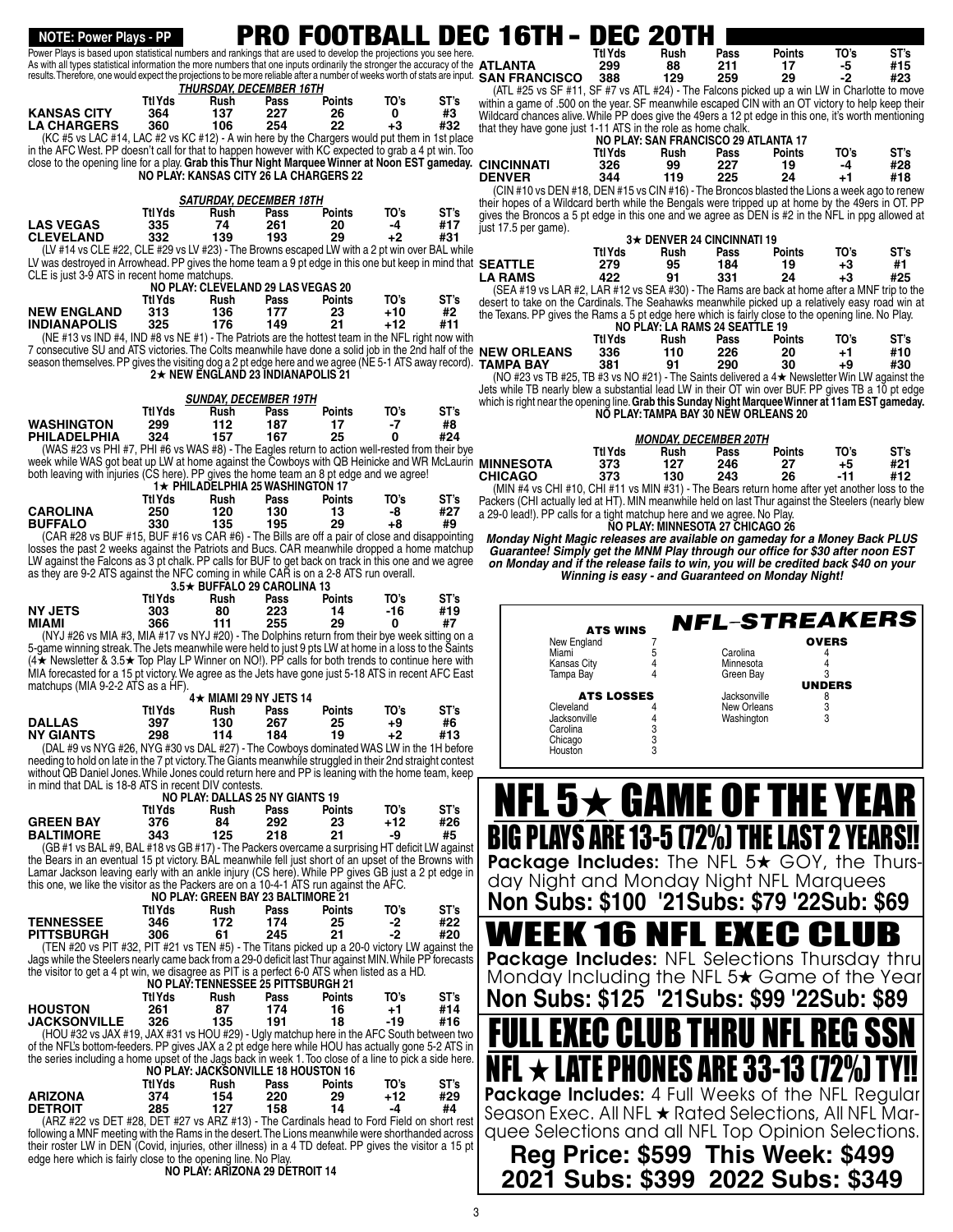#### *THURSDAY, DECEMBER 16TH*  **Ttl Yds Rush Pass Points TO's ST's KANSAS CITY 364 137 227 26 0 #3 LA CHARGERS 360 106 254 22 +3 #32** (KC #5 vs LAC #14, LAC #2 vs KC #12) - A win here by the Chargers would put them in 1st place in the AFC West. PP doesn't call for that to happen however with KC expected to grab a 4 pt win. Too close to the opening line for a play. **Grab this Thur Night Marquee Winner at Noon EST gameday. NO PLAY: KANSAS CITY 26 LA CHARGERS 22** *SATURDAY, DECEMBER 18TH*  **Ttl Yds Rush Pass Points TO's ST's LAS VEGAS 335 74 261 20 -4 #17 CLEVELAND 332 139 193 29 +2 #31** (LV #14 vs CLE #22, CLE #29 vs LV #23) - The Browns escaped LW with a 2 pt win over BAL while LV was destroyed in Arrowhead. PP gives the home team a 9 pt edge in this one but keep in mind that **SEATTLE 279 95 184 19 +3 #1** CLE is just 3-9 ATS in recent home matchups. **NO PLAY: CLEVELAND 29 LAS VEGAS 20 Ttl Yds Rush Pass Points TO's ST's NEW ENGLAND 313 136 177 23 +10 #2 INDIANAPOLIS 325 176 149 21 +12 #11** (NE #13 vs IND #4, IND #8 vs NE #1) - The Patriots are the hottest team in the NFL right now with 7 consecutive SU and ATS victories. The Colts meanwhile have done a solid job in the 2nd half of the  **Ttl Yds Rush Pass Points TO's ST's** season themselves. PP gives the visiting dog a 2 pt edge here and we agree (NE 5-1 ATS away record). **TAMPA BAY 381 91 290 30 +9 #30 2★ NEW ENGLAND 23 INDIANAPOLIS 21** *SUNDAY, DECEMBER 19TH*  **Ttl Yds Rush Pass Points TO's ST's WASHINGTON 299 112 187 17 -7 #8 PHILADELPHIA 324 157 167 25 0 #24** (WAS #23 vs PHI #7, PHI #6 vs WAS #8) - The Eagles return to action well-rested from their bye week while WAS got beat up LW at home against the Cowboys with QB Heinicke and WR McLaurin week while WAS got beat up LW at home against the Cowboys with QB Heinicke and WR McLaurin MINNESOTA  $373$  127 246 27 +5 #21<br>both leaving with injuries (CS here). PP gives the home team an 8 pt edge and we agree! CHICAGO 3 **1★ PHILADELPHIA 25 WASHINGTON 17 Ttl Yds Rush Pass Points TO's ST's CAROLINA 250 120 130 13 -8 #27 BUFFALO 330 135 195 29 +8 #9** (CAR #28 vs BUF #15, BUF #16 vs CAR #6) - The Bills are off a pair of close and disappointing losses the past 2 weeks against the Patriots and Bucs. CAR meanwhile dropped a home matchup LW against the Falcons as 3 pt chalk. PP calls for BUF to get back on track in this one and we agree as they are 9-2 ATS against the NFC coming in while CAR is on a 2-8 ATS run overall. **3.5★ BUFFALO 29 CAROLINA 13**<br>Ttl Yds Rush Pass Points  **Ttl Yds Rush Pass Points TO's ST's NY JETS 303 80 223 14 -16 #19 MIAMI 366 111 255 29 0 #7** (NYJ #26 vs MIA #3, MIA #17 vs NYJ #20) - The Dolphins return from their bye week sitting on a 5-game winning streak.The Jets meanwhile were held to just 9 pts LW at home in a loss to the Šaints<br>(4★ Newsletter & 3.5★ Top Play LP Winner on NO!). PP calls for both trends to continue here with MIA forecasted for a 15 pt victory. We agree as the Jets have gone just 5-18 ATS in recent AFC East matchups (MIA 9-2-2 ATS as a HF). **4★ MIAMI 29 NY JETS 14<br>Rush Pass Ttl Yds Rush Pass Points TO's ST's DALLAS 397 130 267 25 +9 #6**  $\overline{N}$ **Y** GIANTS (DAL #9 vs NYG #26, NYG #30 vs DAL #27) - The Cowboys dominated WAS LW in the 1H before needing to hold on late in the 7 pt victory. The Giants meanwhile struggled in their 2nd straight contest without QB Daniel Jones. While Jones could return here and PP is leaning with the home team, keep in mind that DAL is 18-8 ATS in recent DIV contests. **NO PLAY: DALLAS 25 NY GIANTS 19 Ttl Yds Rush Pass Points TO's ST's GREEN BAY 376 84 292 23 +12 #26 BALTIMORE 343 125 218 21 -9 #5** (GB #1 vs BAL #9, BAL #18 vs GB #17) - The Packers overcame a surprising HT deficit LW against the Bears in an eventual 15 pt victory. BAL meanwhile fell just short of an upset of the Browns with Lamar Jackson leaving early with an ankle injury (CS here). While PP gives GB just a 2 pt edge in this one, we like the visitor as the Packers are on a 10-4-1 ATS run against the AFC. **NO PLAY: GREEN BAY 23 BALTIMORE 21 Ttl Yds Rush Pass Points TO's ST's TENNESSEE 346 172 174 25 -2 #22 PITTSBURGH 306 61 245 21 -2 #20** (TEN #20 vs PIT #32, PIT #21 vs TEN #5) - The Titans picked up a 20-0 victory LW against the Jags while the Steelers nearly came back from a 29-0 deficit last Thur against MIN. While PP forecasts the visitor to get a 4 pt win, we disagree as PIT is a perfect 6-0 ATS when listed as a HD.  **Ttl Yds Rush Pass Points TO's ST's ATLANTA 299 88 211 17 -5 #15** results. Therefore, one would expect the projections to be more reliable after a number of weeks worth of stats are input. SAN FRANCISCO 388 129 259 29 -2 #23 (ATL #25 vs SF #11, SF #7 vs ATL #24) - The Falcons picked up a win LW in Charlotte to move within a game of .500 on the year. SF meanwhile escaped CIN with an OT victory to help keep their Wildcard chances alive. While PP does give the 49ers a 12 pt edge in this one, it's worth mentioning that they have gone just 1-11 ATS in the role as home chalk. **NO PLAY: SAN FRANCISCO 29 ATLANTA 17 Ttl Yds Rush Pass Points TO's ST's CINCINNATI 326 99 227 19 -4 #28 DENVER 344 119 225 24 +1 #18** (CIN #10 vs DEN #18, DEN #15 vs CIN #16) - The Broncos blasted the Lions a week ago to renew their hopes of a Wildcard berth while the Bengals were tripped up at home by the 49ers in OT. PP gives the Broncos a 5 pt edge in this one and we agree as DEN is #2 in the NFL in ppg allowed at just 17.5 per game). **3**★ DENVER 24 CINCINNATI 19<br>Ttl Yds Rush Pass Points  **Ttl Yds Rush Pass Points TO's ST's LA RAMS 422 91 331 24 +3 #25** (SEA #19 vs LAR #2, LAR #12 vs SEA #30) - The Rams are back at home after a MNF trip to the desert to take on the Cardinals. The Seahawks meanwhile picked up a relatively easy road win at the Texans. PP gives the Rams a 5 pt edge here which is fairly close to the opening line. No Play. **NO PLAY: LA RAMS 24 SEATTLE 19<br>Ttl Yds Rush Pass Points NEW ORLEANS 336 110 226 20 +1 #10** (NO #23 vs TB #25, TB #3 vs NO #21) - The Saints delivered a  $4\star$  Newsletter Win LW against the Jets while TB nearly blew a substantial lead LW in their OT win over BUF. PP gives TB a 10 pt edge which is right near the opening line. **Grab this Sunday Night Marquee Winner at 11am EST gameday. NO PLAY: TAMPA BAY 30 NEW ORLEANS 20** *MONDAY, DECEMBER 20TH*  **Ttl Yds Rush Pass Points TO's ST's CHICAGO 373 130 243 26 -11 #12** (MIN #4 vs CHI #10, CHI #11 vs MIN #31) - The Bears return home after yet another loss to the Packers (CHI actually led at HT). MIN meanwhile held on last Thur against the Steelers (nearly blew a 29-0 lead!). PP calls for a tight matchup here and we agree. No Play. **NO PLAY: MINNESOTA 27 CHICAGO 26 Monday Night Magic releases are available on gameday for a Money Back PLUS Guarantee! Simply get the MNM Play through our office for \$30 after noon EST on Monday and if the release fails to win, you will be credited back \$40 on your Winning is easy - and Guaranteed on Monday Night!** Power Plays is based upon statistical numbers and rankings that are used to develop the projections you see here. As with all types statistical information the more numbers that one inputs ordinarily the stronger the accuracy of the ATLANTA NOTE: Power Plays - PP<br>ower Plays is based upon statistical numbers and rankings that are used to develop the projections you see here.<br>Pass ATS WINS New England Miami 5<br>Kansas City 4 Kansas City 4 **Tampa Bay** ATS LOSSES Cleveland Jacksonville 4<br>Carolina 3 Carolina 3<br>Chicago 3 Chicago 3<br>Houston 3 Houston **OVERS** Carolina **Minnesota** Green Bay **UNDERS** Jacksonville 8 New Orleans 3<br>Washington 3 Washington NFL-STREAKERS NFL  $\mathbf{5}\boldsymbol{\star}$  game of the yea BIG PLAYS ARE 13-5 (72%) THE LAST 2 YEAR Package Includes: The NFL 5<sup>\*</sup> GOY, the Thursday Night and Monday Night NFL Marquees **Non Subs: \$100 '21Subs: \$79 '22Sub: \$69** /EEK 16 NFL EXEC Cl Package Includes: NFL Selections Thursday thru Monday Including the NFL 5<sup>\*</sup> Game of the Year

**NO PLAY: TENNESSEE 25 PITTSBURGH 21 Ttl Yds Rush Pass Points TO's ST's HOUSTON 261 87 174 16 +1 #14 JACKSONVILLE 326 135 191 18 -19 #16** (HOU #32 vs JAX #19, JAX #31 vs HOU #29) - Ugly matchup here in the AFC South between two of the NFL's bottom-feeders. PP gives JAX a 2 pt edge here while HOU has actually gone 5-2 ATS in the series including a home upset of the Jags back in week 1. Too close of a line to pick a side here.

| .              |         |      |      | .<br>NO PLAY: JACKSONVILLE 18 HOUSTON 16 |      |      |
|----------------|---------|------|------|------------------------------------------|------|------|
|                | Ttl Yds | Rush | Pass | <b>Points</b>                            | TO's | ST's |
| <b>ARIZONA</b> | 374     | 154  | 220  | 29                                       | +12  | #29  |
| <b>DETROIT</b> | 285     | 127  | 158  | 14                                       | -4   | #4   |
| 1.777          |         |      |      |                                          |      |      |

(ARZ #22 vs DET #28, DET #27 vs ARZ #13) - The Cardinals head to Ford Field on short rest following a MNF meeting with the Rams in the desert. The Lions meanwhile were shorthanded across their roster LW in DEN (Covid, injuries, other illness) in a 4 TD defeat. PP gives the visitor a 15 pt edge here which is fairly close to the opening line. No Play.

**NO PLAY: ARIZONA 29 DETROIT 14**

3

EG GLUB T

NFL  $\star$  late phones are 33-13 (72%) t

Package Includes: 4 Full Weeks of the NFL Regular Season Exec. All NFL  $\bigstar$  Rated Selections, All NFL Marquee Selections and all NFL Top Opinion Selections. **Reg Price: \$599 This Week: \$499 2021 Subs: \$399 2022 Subs: \$349**

**Non Subs: \$125 '21Subs: \$99 '22Sub: \$89**